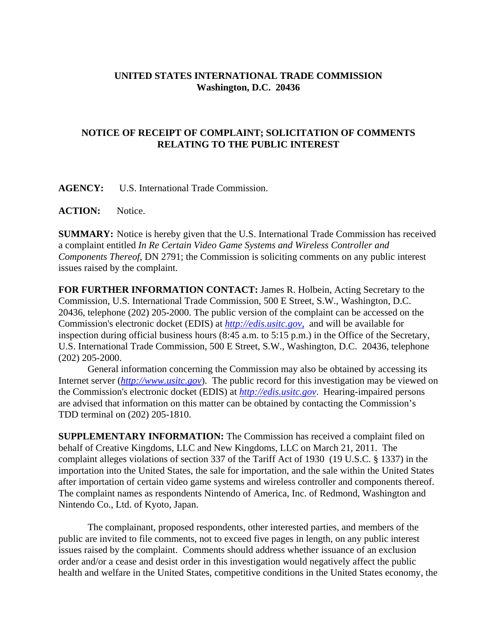## **UNITED STATES INTERNATIONAL TRADE COMMISSION Washington, D.C. 20436**

## **NOTICE OF RECEIPT OF COMPLAINT; SOLICITATION OF COMMENTS RELATING TO THE PUBLIC INTEREST**

**AGENCY:** U.S. International Trade Commission.

**ACTION:** Notice.

**SUMMARY:** Notice is hereby given that the U.S. International Trade Commission has received a complaint entitled *In Re Certain Video Game Systems and Wireless Controller and Components Thereof*, DN 2791; the Commission is soliciting comments on any public interest issues raised by the complaint.

**FOR FURTHER INFORMATION CONTACT:** James R. Holbein, Acting Secretary to the Commission, U.S. International Trade Commission, 500 E Street, S.W., Washington, D.C. 20436, telephone (202) 205-2000. The public version of the complaint can be accessed on the Commission's electronic docket (EDIS) at *http://edis.usitc.gov*, and will be available for inspection during official business hours (8:45 a.m. to 5:15 p.m.) in the Office of the Secretary, U.S. International Trade Commission, 500 E Street, S.W., Washington, D.C. 20436, telephone (202) 205-2000.

General information concerning the Commission may also be obtained by accessing its Internet server (*http://www.usitc.gov*). The public record for this investigation may be viewed on the Commission's electronic docket (EDIS) at *http://edis.usitc.gov*. Hearing-impaired persons are advised that information on this matter can be obtained by contacting the Commission's TDD terminal on (202) 205-1810.

**SUPPLEMENTARY INFORMATION:** The Commission has received a complaint filed on behalf of Creative Kingdoms, LLC and New Kingdoms, LLC on March 21, 2011. The complaint alleges violations of section 337 of the Tariff Act of 1930 (19 U.S.C. § 1337) in the importation into the United States, the sale for importation, and the sale within the United States after importation of certain video game systems and wireless controller and components thereof. The complaint names as respondents Nintendo of America, Inc. of Redmond, Washington and Nintendo Co., Ltd. of Kyoto, Japan.

The complainant, proposed respondents, other interested parties, and members of the public are invited to file comments, not to exceed five pages in length, on any public interest issues raised by the complaint. Comments should address whether issuance of an exclusion order and/or a cease and desist order in this investigation would negatively affect the public health and welfare in the United States, competitive conditions in the United States economy, the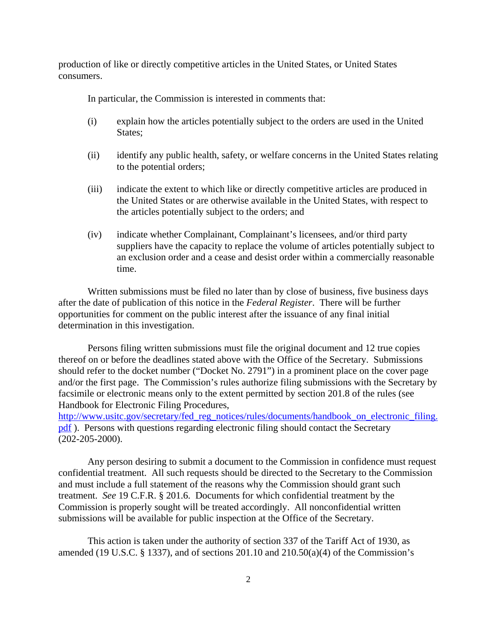production of like or directly competitive articles in the United States, or United States consumers.

In particular, the Commission is interested in comments that:

- (i) explain how the articles potentially subject to the orders are used in the United States;
- (ii) identify any public health, safety, or welfare concerns in the United States relating to the potential orders;
- (iii) indicate the extent to which like or directly competitive articles are produced in the United States or are otherwise available in the United States, with respect to the articles potentially subject to the orders; and
- (iv) indicate whether Complainant, Complainant's licensees, and/or third party suppliers have the capacity to replace the volume of articles potentially subject to an exclusion order and a cease and desist order within a commercially reasonable time.

Written submissions must be filed no later than by close of business, five business days after the date of publication of this notice in the *Federal Register*. There will be further opportunities for comment on the public interest after the issuance of any final initial determination in this investigation.

Persons filing written submissions must file the original document and 12 true copies thereof on or before the deadlines stated above with the Office of the Secretary. Submissions should refer to the docket number ("Docket No. 2791") in a prominent place on the cover page and/or the first page. The Commission's rules authorize filing submissions with the Secretary by facsimile or electronic means only to the extent permitted by section 201.8 of the rules (see Handbook for Electronic Filing Procedures,

http://www.usitc.gov/secretary/fed\_reg\_notices/rules/documents/handbook\_on\_electronic\_filing. pdf ). Persons with questions regarding electronic filing should contact the Secretary (202-205-2000).

Any person desiring to submit a document to the Commission in confidence must request confidential treatment. All such requests should be directed to the Secretary to the Commission and must include a full statement of the reasons why the Commission should grant such treatment. *See* 19 C.F.R. § 201.6. Documents for which confidential treatment by the Commission is properly sought will be treated accordingly. All nonconfidential written submissions will be available for public inspection at the Office of the Secretary.

This action is taken under the authority of section 337 of the Tariff Act of 1930, as amended (19 U.S.C.  $\S$  1337), and of sections 201.10 and 210.50(a)(4) of the Commission's